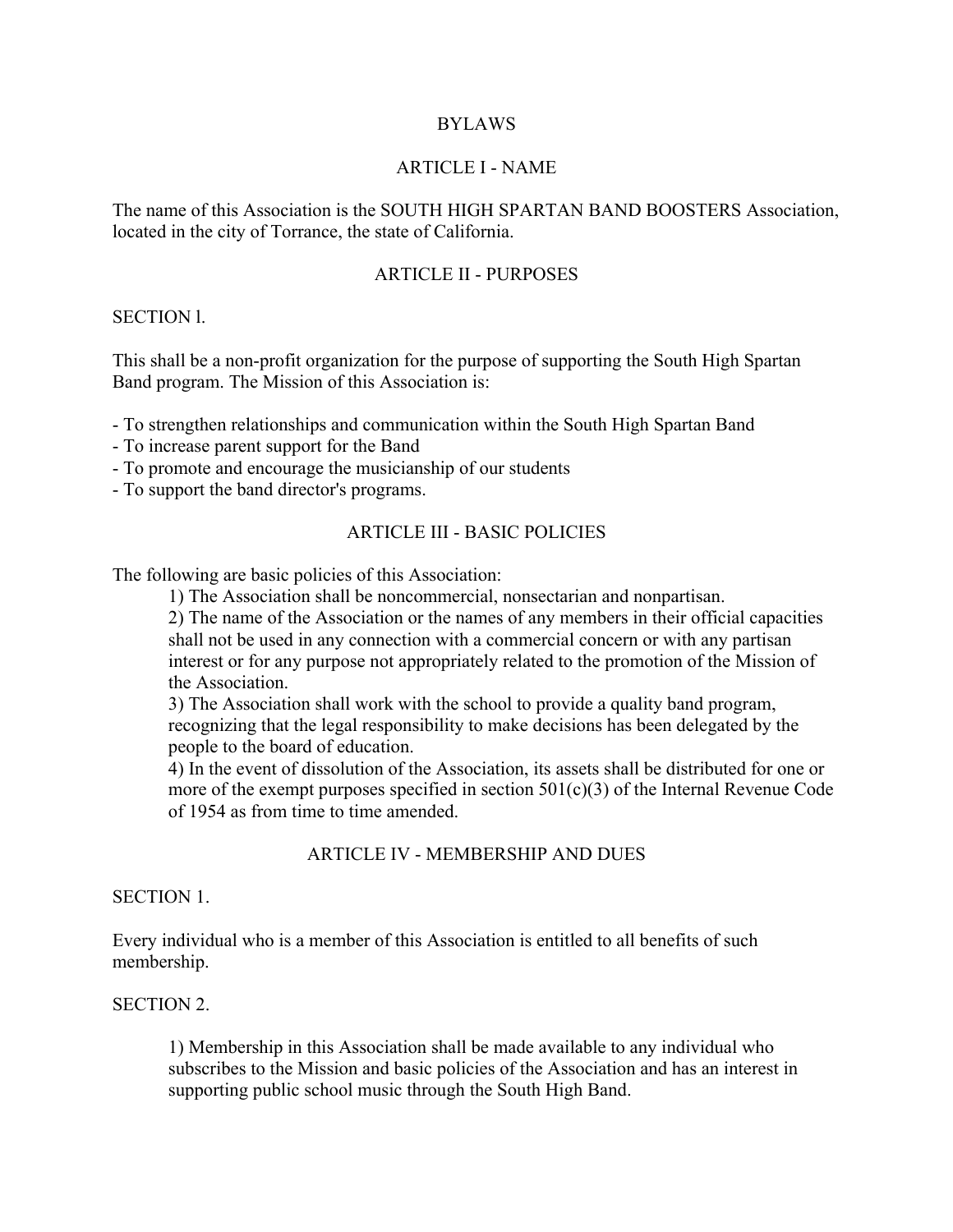### BYLAWS

#### ARTICLE I - NAME

The name of this Association is the SOUTH HIGH SPARTAN BAND BOOSTERS Association, located in the city of Torrance, the state of California.

### ARTICLE II - PURPOSES

#### SECTION l.

This shall be a non-profit organization for the purpose of supporting the South High Spartan Band program. The Mission of this Association is:

- To strengthen relationships and communication within the South High Spartan Band

- To increase parent support for the Band
- To promote and encourage the musicianship of our students
- To support the band director's programs.

## ARTICLE III - BASIC POLICIES

The following are basic policies of this Association:

1) The Association shall be noncommercial, nonsectarian and nonpartisan.

2) The name of the Association or the names of any members in their official capacities shall not be used in any connection with a commercial concern or with any partisan interest or for any purpose not appropriately related to the promotion of the Mission of the Association.

3) The Association shall work with the school to provide a quality band program, recognizing that the legal responsibility to make decisions has been delegated by the people to the board of education.

4) In the event of dissolution of the Association, its assets shall be distributed for one or more of the exempt purposes specified in section  $501(c)(3)$  of the Internal Revenue Code of 1954 as from time to time amended.

#### ARTICLE IV - MEMBERSHIP AND DUES

#### SECTION 1.

Every individual who is a member of this Association is entitled to all benefits of such membership.

#### SECTION 2.

1) Membership in this Association shall be made available to any individual who subscribes to the Mission and basic policies of the Association and has an interest in supporting public school music through the South High Band.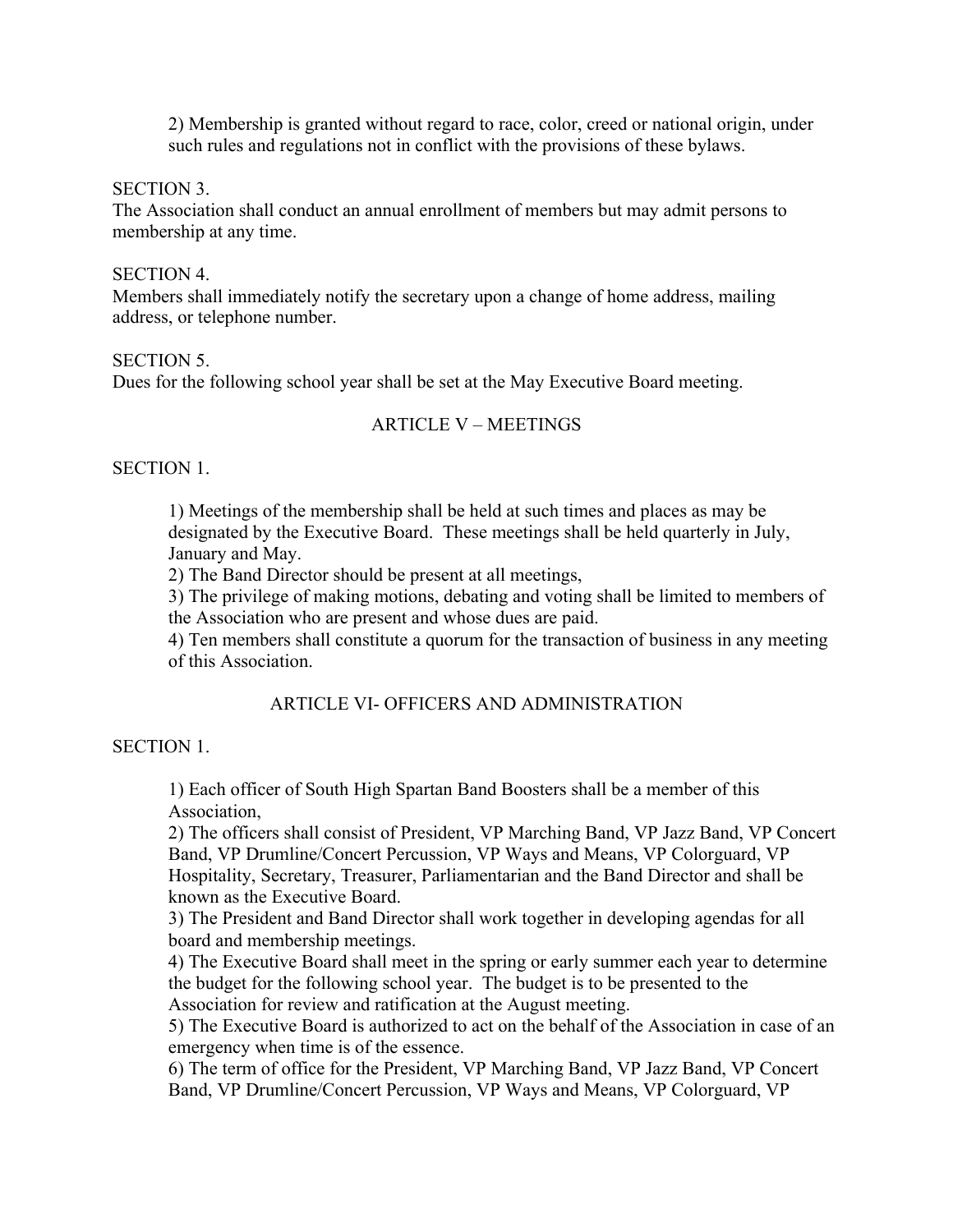2) Membership is granted without regard to race, color, creed or national origin, under such rules and regulations not in conflict with the provisions of these bylaws.

SECTION 3.

The Association shall conduct an annual enrollment of members but may admit persons to membership at any time.

#### SECTION 4.

Members shall immediately notify the secretary upon a change of home address, mailing address, or telephone number.

#### SECTION 5.

Dues for the following school year shall be set at the May Executive Board meeting.

# ARTICLE V – MEETINGS

#### SECTION 1.

1) Meetings of the membership shall be held at such times and places as may be designated by the Executive Board. These meetings shall be held quarterly in July, January and May.

2) The Band Director should be present at all meetings,

3) The privilege of making motions, debating and voting shall be limited to members of the Association who are present and whose dues are paid.

4) Ten members shall constitute a quorum for the transaction of business in any meeting of this Association.

# ARTICLE VI- OFFICERS AND ADMINISTRATION

## SECTION 1.

1) Each officer of South High Spartan Band Boosters shall be a member of this Association,

2) The officers shall consist of President, VP Marching Band, VP Jazz Band, VP Concert Band, VP Drumline/Concert Percussion, VP Ways and Means, VP Colorguard, VP Hospitality, Secretary, Treasurer, Parliamentarian and the Band Director and shall be known as the Executive Board.

3) The President and Band Director shall work together in developing agendas for all board and membership meetings.

4) The Executive Board shall meet in the spring or early summer each year to determine the budget for the following school year. The budget is to be presented to the Association for review and ratification at the August meeting.

5) The Executive Board is authorized to act on the behalf of the Association in case of an emergency when time is of the essence.

6) The term of office for the President, VP Marching Band, VP Jazz Band, VP Concert Band, VP Drumline/Concert Percussion, VP Ways and Means, VP Colorguard, VP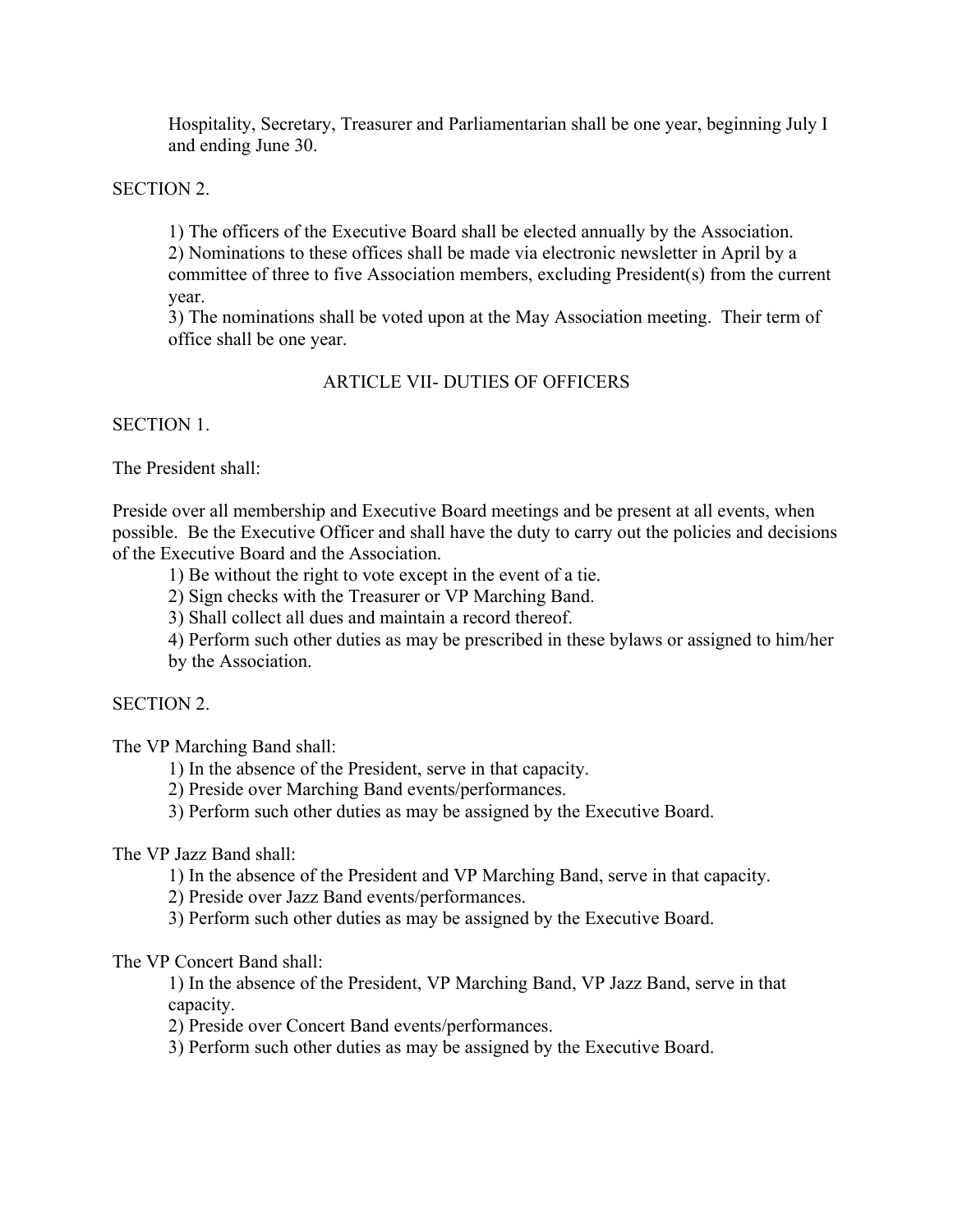Hospitality, Secretary, Treasurer and Parliamentarian shall be one year, beginning July I and ending June 30.

SECTION 2.

1) The officers of the Executive Board shall be elected annually by the Association.

2) Nominations to these offices shall be made via electronic newsletter in April by a committee of three to five Association members, excluding President(s) from the current year.

3) The nominations shall be voted upon at the May Association meeting. Their term of office shall be one year.

# ARTICLE VII- DUTIES OF OFFICERS

SECTION 1.

The President shall:

Preside over all membership and Executive Board meetings and be present at all events, when possible. Be the Executive Officer and shall have the duty to carry out the policies and decisions of the Executive Board and the Association.

1) Be without the right to vote except in the event of a tie.

2) Sign checks with the Treasurer or VP Marching Band.

3) Shall collect all dues and maintain a record thereof.

4) Perform such other duties as may be prescribed in these bylaws or assigned to him/her by the Association.

SECTION 2.

The VP Marching Band shall:

1) In the absence of the President, serve in that capacity.

2) Preside over Marching Band events/performances.

3) Perform such other duties as may be assigned by the Executive Board.

The VP Jazz Band shall:

1) In the absence of the President and VP Marching Band, serve in that capacity.

2) Preside over Jazz Band events/performances.

3) Perform such other duties as may be assigned by the Executive Board.

The VP Concert Band shall:

1) In the absence of the President, VP Marching Band, VP Jazz Band, serve in that capacity.

2) Preside over Concert Band events/performances.

3) Perform such other duties as may be assigned by the Executive Board.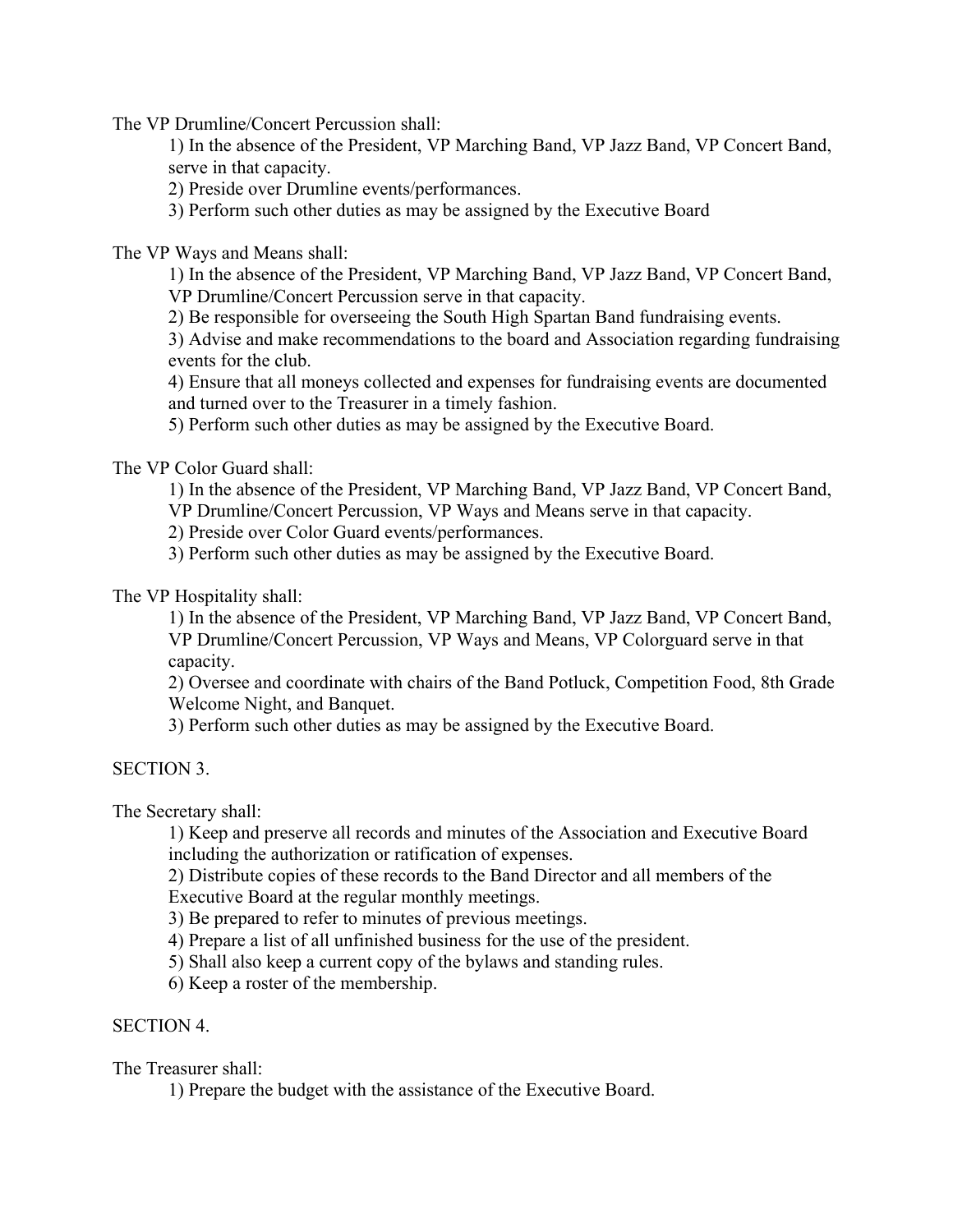The VP Drumline/Concert Percussion shall:

1) In the absence of the President, VP Marching Band, VP Jazz Band, VP Concert Band, serve in that capacity.

2) Preside over Drumline events/performances.

3) Perform such other duties as may be assigned by the Executive Board

The VP Ways and Means shall:

1) In the absence of the President, VP Marching Band, VP Jazz Band, VP Concert Band, VP Drumline/Concert Percussion serve in that capacity.

2) Be responsible for overseeing the South High Spartan Band fundraising events.

3) Advise and make recommendations to the board and Association regarding fundraising events for the club.

4) Ensure that all moneys collected and expenses for fundraising events are documented and turned over to the Treasurer in a timely fashion.

5) Perform such other duties as may be assigned by the Executive Board.

The VP Color Guard shall:

1) In the absence of the President, VP Marching Band, VP Jazz Band, VP Concert Band,

VP Drumline/Concert Percussion, VP Ways and Means serve in that capacity.

2) Preside over Color Guard events/performances.

3) Perform such other duties as may be assigned by the Executive Board.

The VP Hospitality shall:

1) In the absence of the President, VP Marching Band, VP Jazz Band, VP Concert Band, VP Drumline/Concert Percussion, VP Ways and Means, VP Colorguard serve in that capacity.

2) Oversee and coordinate with chairs of the Band Potluck, Competition Food, 8th Grade Welcome Night, and Banquet.

3) Perform such other duties as may be assigned by the Executive Board.

#### SECTION 3.

The Secretary shall:

1) Keep and preserve all records and minutes of the Association and Executive Board including the authorization or ratification of expenses.

2) Distribute copies of these records to the Band Director and all members of the Executive Board at the regular monthly meetings.

3) Be prepared to refer to minutes of previous meetings.

4) Prepare a list of all unfinished business for the use of the president.

5) Shall also keep a current copy of the bylaws and standing rules.

6) Keep a roster of the membership.

# SECTION 4.

The Treasurer shall:

1) Prepare the budget with the assistance of the Executive Board.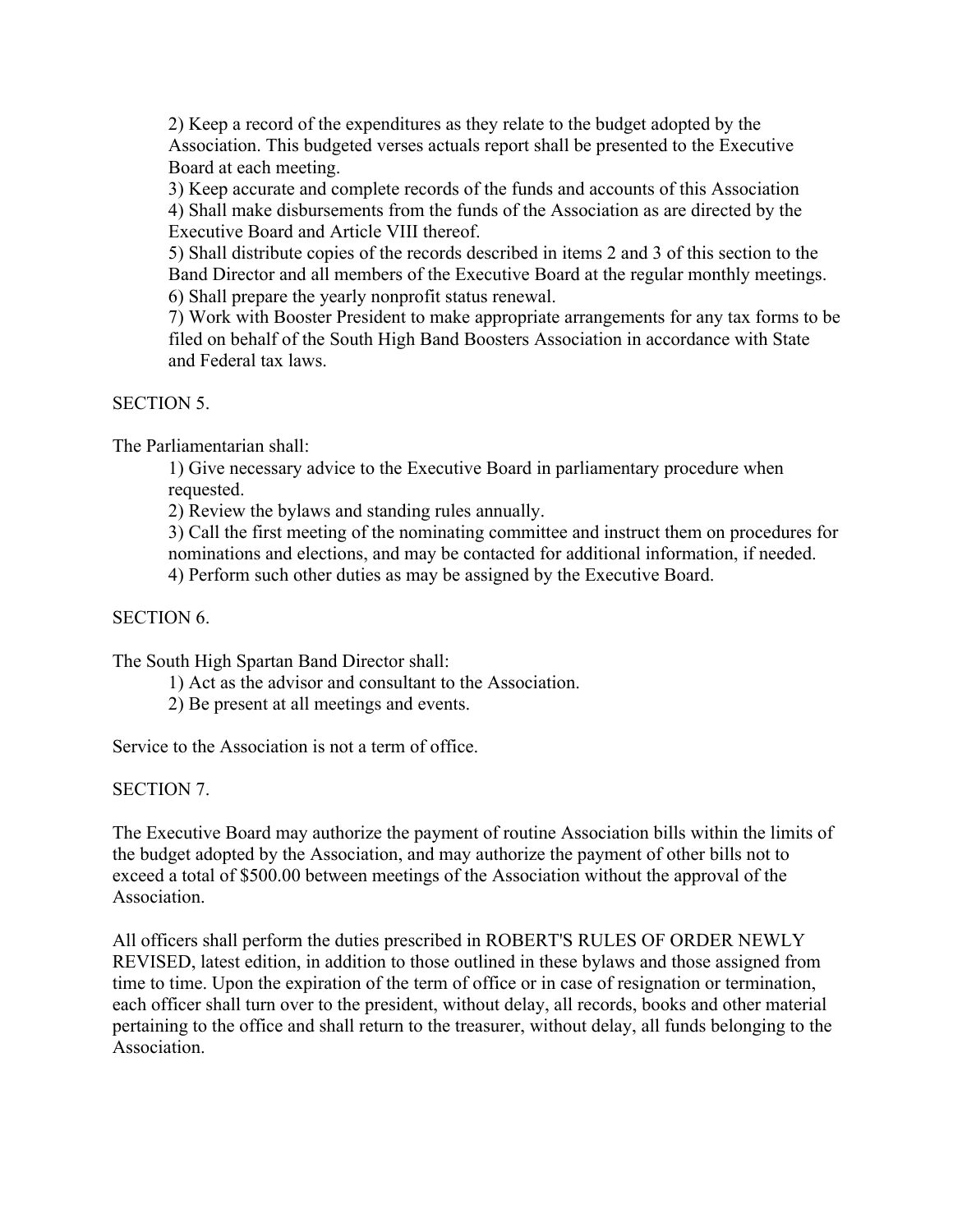2) Keep a record of the expenditures as they relate to the budget adopted by the Association. This budgeted verses actuals report shall be presented to the Executive Board at each meeting.

3) Keep accurate and complete records of the funds and accounts of this Association 4) Shall make disbursements from the funds of the Association as are directed by the Executive Board and Article VIII thereof.

5) Shall distribute copies of the records described in items 2 and 3 of this section to the Band Director and all members of the Executive Board at the regular monthly meetings. 6) Shall prepare the yearly nonprofit status renewal.

7) Work with Booster President to make appropriate arrangements for any tax forms to be filed on behalf of the South High Band Boosters Association in accordance with State and Federal tax laws.

SECTION 5

The Parliamentarian shall:

1) Give necessary advice to the Executive Board in parliamentary procedure when requested.

2) Review the bylaws and standing rules annually.

3) Call the first meeting of the nominating committee and instruct them on procedures for nominations and elections, and may be contacted for additional information, if needed.

4) Perform such other duties as may be assigned by the Executive Board.

## SECTION 6.

The South High Spartan Band Director shall:

- 1) Act as the advisor and consultant to the Association.
- 2) Be present at all meetings and events.

Service to the Association is not a term of office.

SECTION 7.

The Executive Board may authorize the payment of routine Association bills within the limits of the budget adopted by the Association, and may authorize the payment of other bills not to exceed a total of \$500.00 between meetings of the Association without the approval of the **Association** 

All officers shall perform the duties prescribed in ROBERT'S RULES OF ORDER NEWLY REVISED, latest edition, in addition to those outlined in these bylaws and those assigned from time to time. Upon the expiration of the term of office or in case of resignation or termination, each officer shall turn over to the president, without delay, all records, books and other material pertaining to the office and shall return to the treasurer, without delay, all funds belonging to the **Association**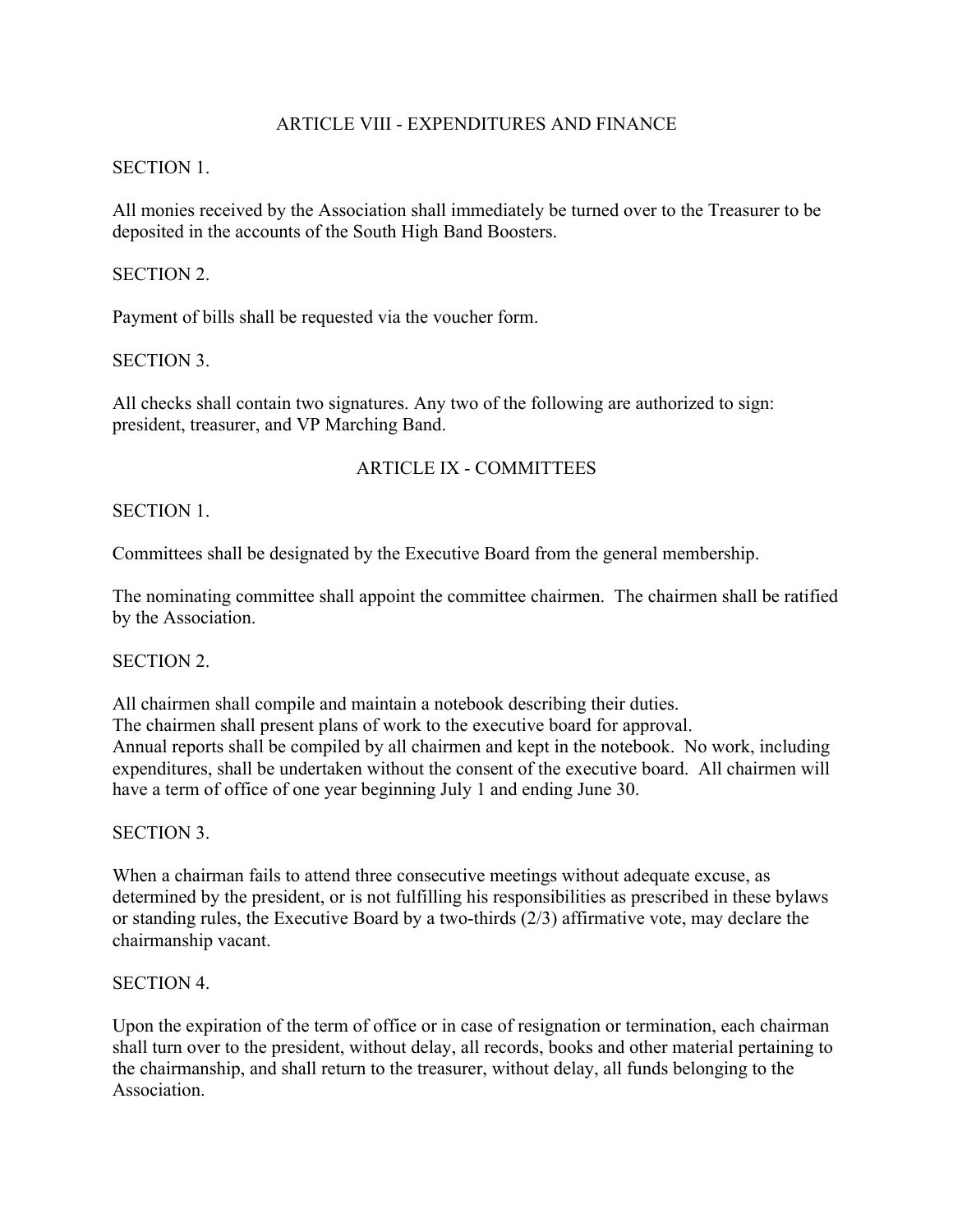# ARTICLE VIII - EXPENDITURES AND FINANCE

### SECTION 1.

All monies received by the Association shall immediately be turned over to the Treasurer to be deposited in the accounts of the South High Band Boosters.

### SECTION 2.

Payment of bills shall be requested via the voucher form.

# SECTION 3.

All checks shall contain two signatures. Any two of the following are authorized to sign: president, treasurer, and VP Marching Band.

# ARTICLE IX - COMMITTEES

### SECTION 1.

Committees shall be designated by the Executive Board from the general membership.

The nominating committee shall appoint the committee chairmen. The chairmen shall be ratified by the Association.

### SECTION 2.

All chairmen shall compile and maintain a notebook describing their duties. The chairmen shall present plans of work to the executive board for approval. Annual reports shall be compiled by all chairmen and kept in the notebook. No work, including expenditures, shall be undertaken without the consent of the executive board. All chairmen will have a term of office of one year beginning July 1 and ending June 30.

SECTION 3.

When a chairman fails to attend three consecutive meetings without adequate excuse, as determined by the president, or is not fulfilling his responsibilities as prescribed in these bylaws or standing rules, the Executive Board by a two-thirds (2/3) affirmative vote, may declare the chairmanship vacant.

### SECTION 4.

Upon the expiration of the term of office or in case of resignation or termination, each chairman shall turn over to the president, without delay, all records, books and other material pertaining to the chairmanship, and shall return to the treasurer, without delay, all funds belonging to the Association.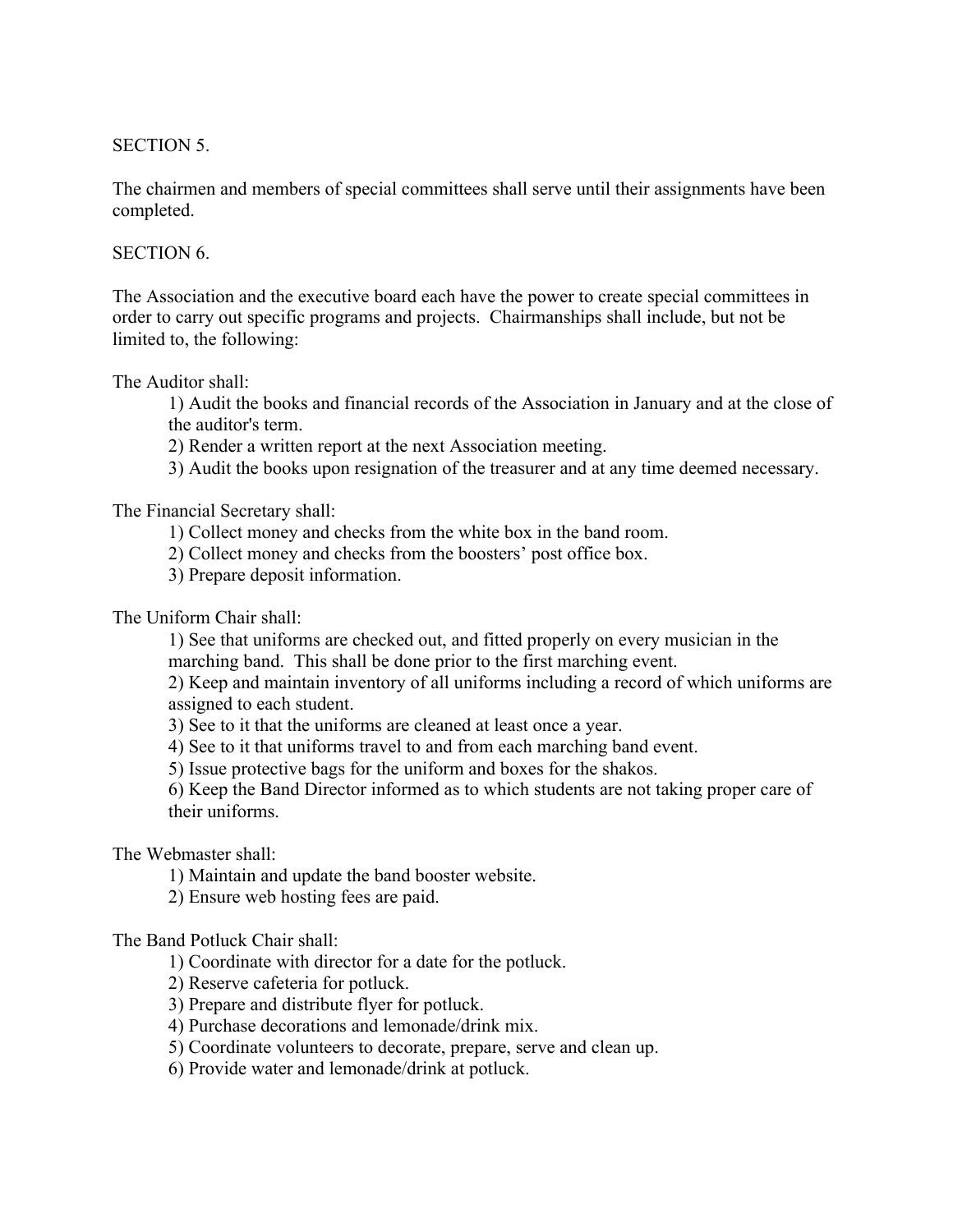SECTION 5.

The chairmen and members of special committees shall serve until their assignments have been completed.

### SECTION 6.

The Association and the executive board each have the power to create special committees in order to carry out specific programs and projects. Chairmanships shall include, but not be limited to, the following:

The Auditor shall:

1) Audit the books and financial records of the Association in January and at the close of the auditor's term.

2) Render a written report at the next Association meeting.

3) Audit the books upon resignation of the treasurer and at any time deemed necessary.

The Financial Secretary shall:

1) Collect money and checks from the white box in the band room.

- 2) Collect money and checks from the boosters' post office box.
- 3) Prepare deposit information.

The Uniform Chair shall:

1) See that uniforms are checked out, and fitted properly on every musician in the marching band. This shall be done prior to the first marching event.

2) Keep and maintain inventory of all uniforms including a record of which uniforms are assigned to each student.

3) See to it that the uniforms are cleaned at least once a year.

4) See to it that uniforms travel to and from each marching band event.

5) Issue protective bags for the uniform and boxes for the shakos.

6) Keep the Band Director informed as to which students are not taking proper care of their uniforms.

The Webmaster shall:

1) Maintain and update the band booster website.

2) Ensure web hosting fees are paid.

### The Band Potluck Chair shall:

1) Coordinate with director for a date for the potluck.

2) Reserve cafeteria for potluck.

3) Prepare and distribute flyer for potluck.

4) Purchase decorations and lemonade/drink mix.

5) Coordinate volunteers to decorate, prepare, serve and clean up.

6) Provide water and lemonade/drink at potluck.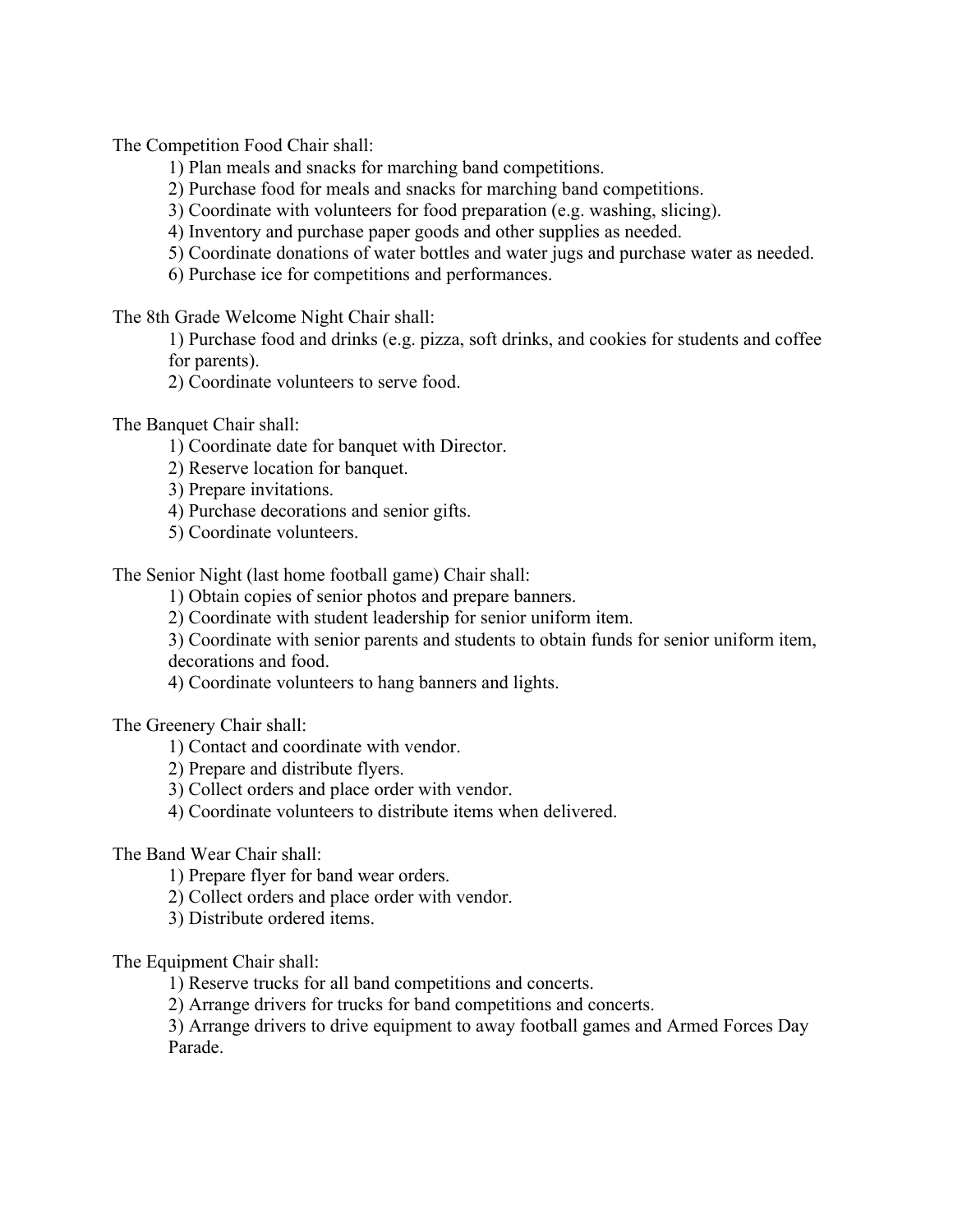The Competition Food Chair shall:

- 1) Plan meals and snacks for marching band competitions.
- 2) Purchase food for meals and snacks for marching band competitions.
- 3) Coordinate with volunteers for food preparation (e.g. washing, slicing).
- 4) Inventory and purchase paper goods and other supplies as needed.
- 5) Coordinate donations of water bottles and water jugs and purchase water as needed.
- 6) Purchase ice for competitions and performances.

The 8th Grade Welcome Night Chair shall:

1) Purchase food and drinks (e.g. pizza, soft drinks, and cookies for students and coffee for parents).

2) Coordinate volunteers to serve food.

The Banquet Chair shall:

- 1) Coordinate date for banquet with Director.
- 2) Reserve location for banquet.
- 3) Prepare invitations.
- 4) Purchase decorations and senior gifts.
- 5) Coordinate volunteers.

The Senior Night (last home football game) Chair shall:

1) Obtain copies of senior photos and prepare banners.

2) Coordinate with student leadership for senior uniform item.

3) Coordinate with senior parents and students to obtain funds for senior uniform item, decorations and food.

4) Coordinate volunteers to hang banners and lights.

The Greenery Chair shall:

1) Contact and coordinate with vendor.

2) Prepare and distribute flyers.

3) Collect orders and place order with vendor.

4) Coordinate volunteers to distribute items when delivered.

#### The Band Wear Chair shall:

1) Prepare flyer for band wear orders.

- 2) Collect orders and place order with vendor.
- 3) Distribute ordered items.

The Equipment Chair shall:

1) Reserve trucks for all band competitions and concerts.

2) Arrange drivers for trucks for band competitions and concerts.

3) Arrange drivers to drive equipment to away football games and Armed Forces Day Parade.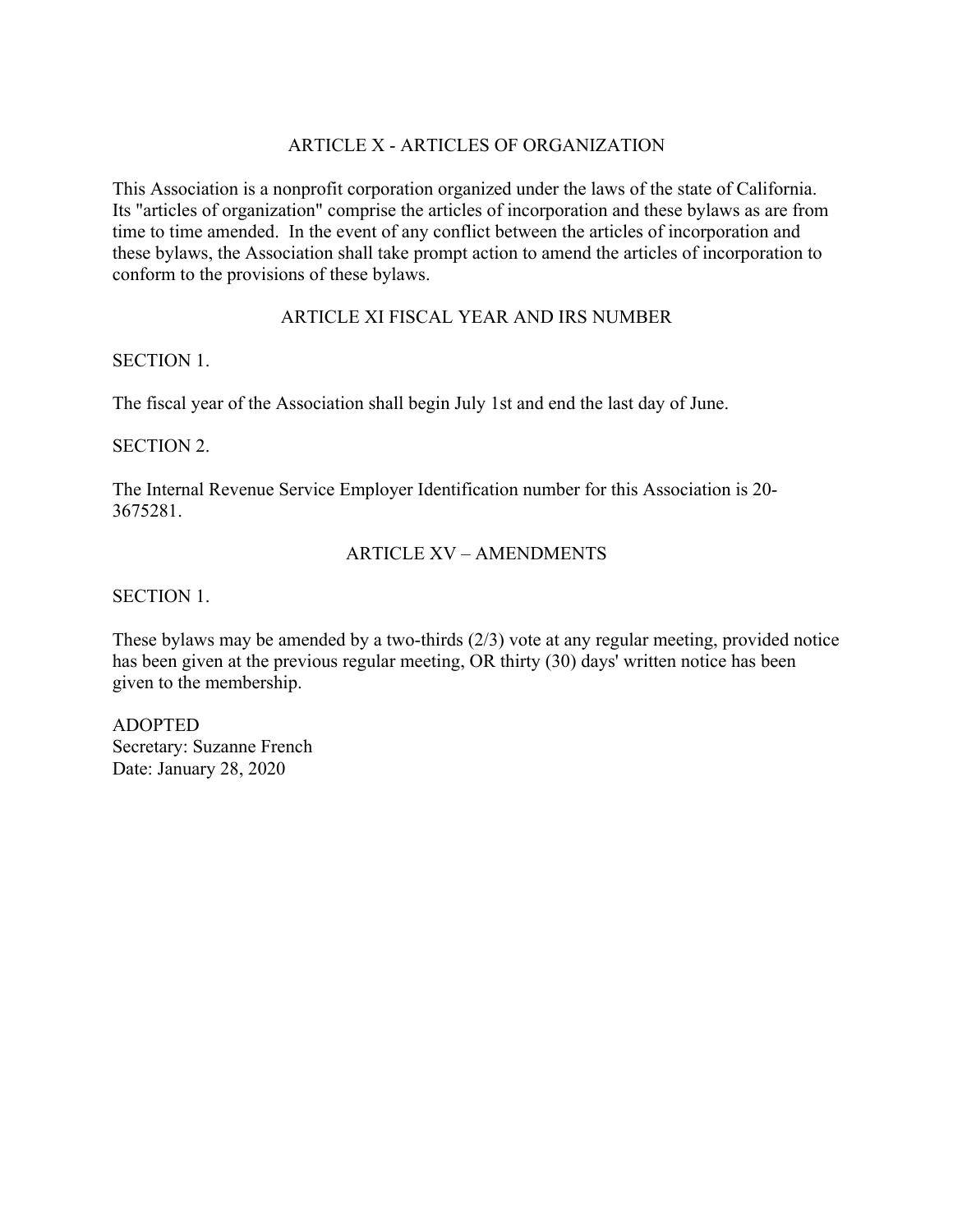# ARTICLE X - ARTICLES OF ORGANIZATION

This Association is a nonprofit corporation organized under the laws of the state of California. Its "articles of organization" comprise the articles of incorporation and these bylaws as are from time to time amended. In the event of any conflict between the articles of incorporation and these bylaws, the Association shall take prompt action to amend the articles of incorporation to conform to the provisions of these bylaws.

# ARTICLE XI FISCAL YEAR AND IRS NUMBER

### SECTION 1.

The fiscal year of the Association shall begin July 1st and end the last day of June.

# SECTION 2.

The Internal Revenue Service Employer Identification number for this Association is 20- 3675281.

# ARTICLE XV – AMENDMENTS

SECTION 1.

These bylaws may be amended by a two-thirds (2/3) vote at any regular meeting, provided notice has been given at the previous regular meeting, OR thirty (30) days' written notice has been given to the membership.

ADOPTED Secretary: Suzanne French Date: January 28, 2020